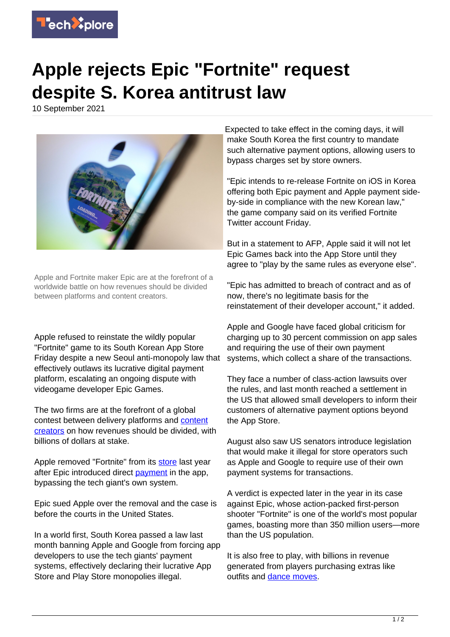

## **Apple rejects Epic "Fortnite" request despite S. Korea antitrust law**

10 September 2021



Apple and Fortnite maker Epic are at the forefront of a worldwide battle on how revenues should be divided between platforms and content creators.

Apple refused to reinstate the wildly popular "Fortnite" game to its South Korean App Store Friday despite a new Seoul anti-monopoly law that effectively outlaws its lucrative digital payment platform, escalating an ongoing dispute with videogame developer Epic Games.

The two firms are at the forefront of a global contest between delivery platforms and **content** [creators](https://techxplore.com/tags/content+creators/) on how revenues should be divided, with billions of dollars at stake.

Apple removed "Fortnite" from its [store](https://techxplore.com/tags/store/) last year after Epic introduced direct [payment](https://techxplore.com/tags/payment/) in the app, bypassing the tech giant's own system.

Epic sued Apple over the removal and the case is before the courts in the United States.

In a world first, South Korea passed a law last month banning Apple and Google from forcing app developers to use the tech giants' payment systems, effectively declaring their lucrative App Store and Play Store monopolies illegal.

Expected to take effect in the coming days, it will make South Korea the first country to mandate such alternative payment options, allowing users to bypass charges set by store owners.

"Epic intends to re-release Fortnite on iOS in Korea offering both Epic payment and Apple payment sideby-side in compliance with the new Korean law," the game company said on its verified Fortnite Twitter account Friday.

But in a statement to AFP, Apple said it will not let Epic Games back into the App Store until they agree to "play by the same rules as everyone else".

"Epic has admitted to breach of contract and as of now, there's no legitimate basis for the reinstatement of their developer account," it added.

Apple and Google have faced global criticism for charging up to 30 percent commission on app sales and requiring the use of their own payment systems, which collect a share of the transactions.

They face a number of class-action lawsuits over the rules, and last month reached a settlement in the US that allowed small developers to inform their customers of alternative payment options beyond the App Store.

August also saw US senators introduce legislation that would make it illegal for store operators such as Apple and Google to require use of their own payment systems for transactions.

A verdict is expected later in the year in its case against Epic, whose action-packed first-person shooter "Fortnite" is one of the world's most popular games, boasting more than 350 million users—more than the US population.

It is also free to play, with billions in revenue generated from players purchasing extras like outfits and [dance moves.](https://techxplore.com/tags/dance+moves/)